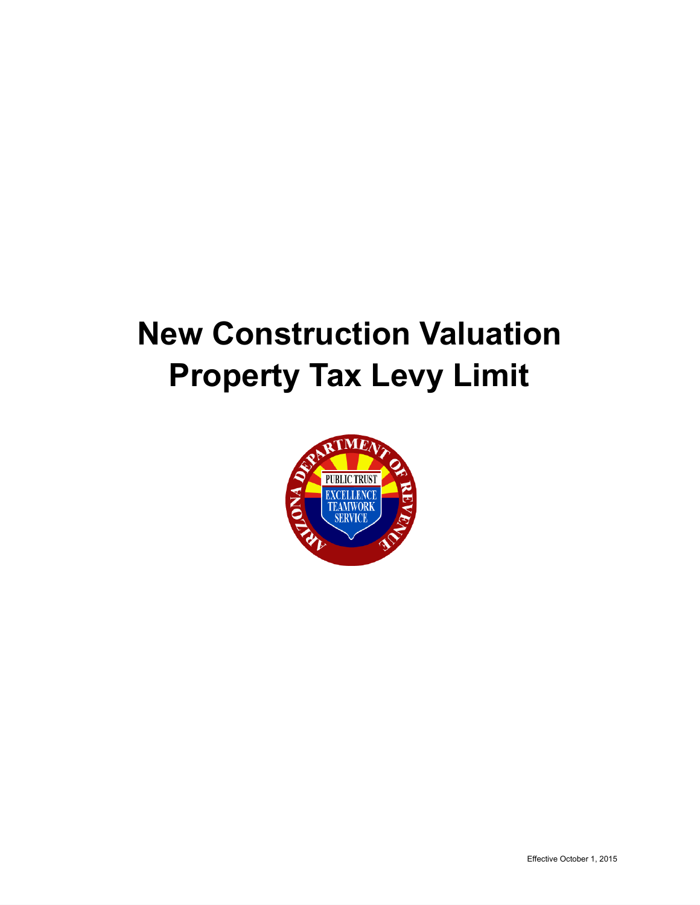# **New Construction Valuation Property Tax Levy Limit**

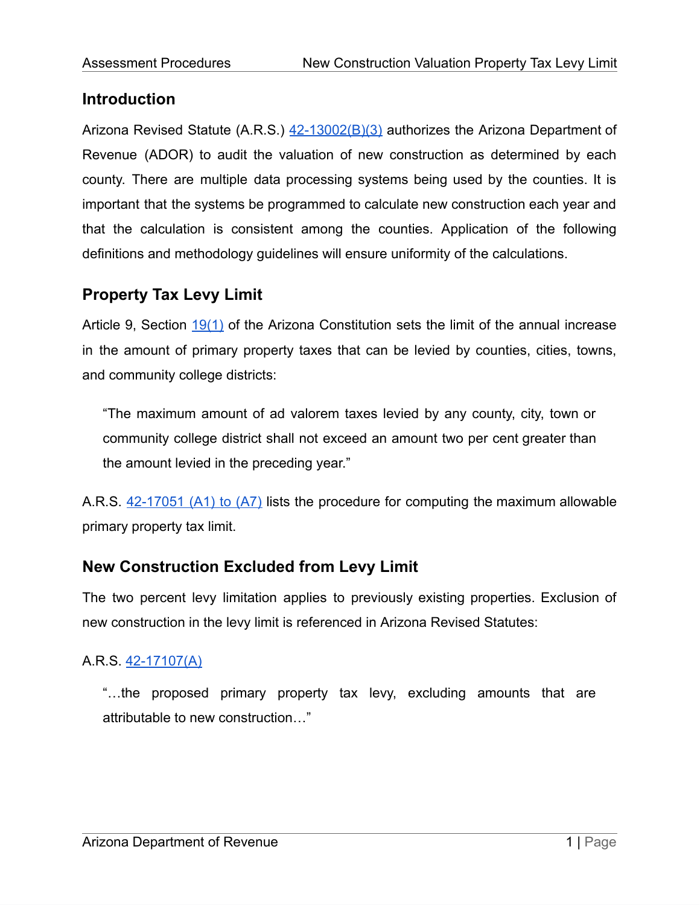# **Introduction**

Arizona Revised Statute (A.R.S.)  $42$ -13002(B)(3) authorizes the Arizona Department of Revenue (ADOR) to audit the valuation of new construction as determined by each county. There are multiple data processing systems being used by the counties. It is important that the systems be programmed to calculate new construction each year and that the calculation is consistent among the counties. Application of the following definitions and methodology guidelines will ensure uniformity of the calculations.

# **Property Tax Levy Limit**

Article 9, Section [19\(1\)](https://www.azleg.gov/viewDocument/?docName=http://www.azleg.gov/const/9/19.htm) of the Arizona Constitution sets the limit of the annual increase in the amount of primary property taxes that can be levied by counties, cities, towns, and community college districts:

"The maximum amount of ad valorem taxes levied by any county, city, town or community college district shall not exceed an amount two per cent greater than the amount levied in the preceding year."

A.R.S. [42-17051](https://www.azleg.gov/viewDocument/?docName=http://www.azleg.gov/ars/42/17051.htm) (A1) to (A7) lists the procedure for computing the maximum allowable primary property tax limit.

# **New Construction Excluded from Levy Limit**

The two percent levy limitation applies to previously existing properties. Exclusion of new construction in the levy limit is referenced in Arizona Revised Statutes:

# A.R.S. [42-17107\(A\)](https://www.azleg.gov/viewDocument/?docName=http://www.azleg.gov/ars/42/17107.htm)

"…the proposed primary property tax levy, excluding amounts that are attributable to new construction…"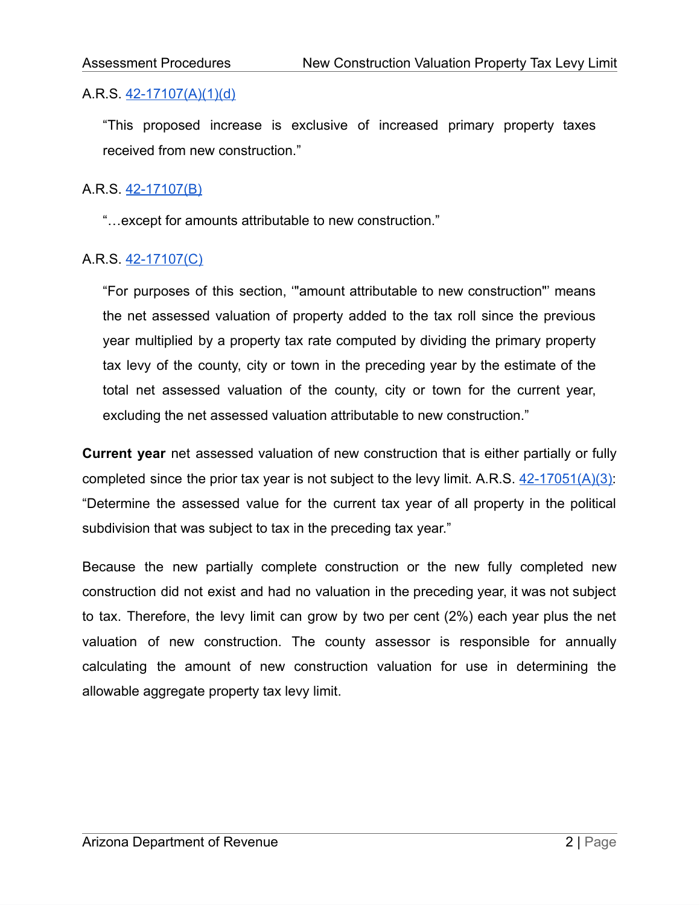## A.R.S. [42-17107\(A\)\(1\)\(d\)](https://www.azleg.gov/viewDocument/?docName=http://www.azleg.gov/ars/42/17107.htm)

"This proposed increase is exclusive of increased primary property taxes received from new construction."

## A.R.S. [42-17107\(B\)](https://www.azleg.gov/viewDocument/?docName=http://www.azleg.gov/ars/42/17107.htm)

"…except for amounts attributable to new construction."

# A.R.S. [42-17107\(C\)](https://www.azleg.gov/viewDocument/?docName=http://www.azleg.gov/ars/42/17107.htm)

"For purposes of this section, '"amount attributable to new construction"' means the net assessed valuation of property added to the tax roll since the previous year multiplied by a property tax rate computed by dividing the primary property tax levy of the county, city or town in the preceding year by the estimate of the total net assessed valuation of the county, city or town for the current year, excluding the net assessed valuation attributable to new construction."

**Current year** net assessed valuation of new construction that is either partially or fully completed since the prior tax year is not subject to the levy limit. A.R.S.  $42-17051(A)(3)$ : "Determine the assessed value for the current tax year of all property in the political subdivision that was subject to tax in the preceding tax year."

Because the new partially complete construction or the new fully completed new construction did not exist and had no valuation in the preceding year, it was not subject to tax. Therefore, the levy limit can grow by two per cent (2%) each year plus the net valuation of new construction. The county assessor is responsible for annually calculating the amount of new construction valuation for use in determining the allowable aggregate property tax levy limit.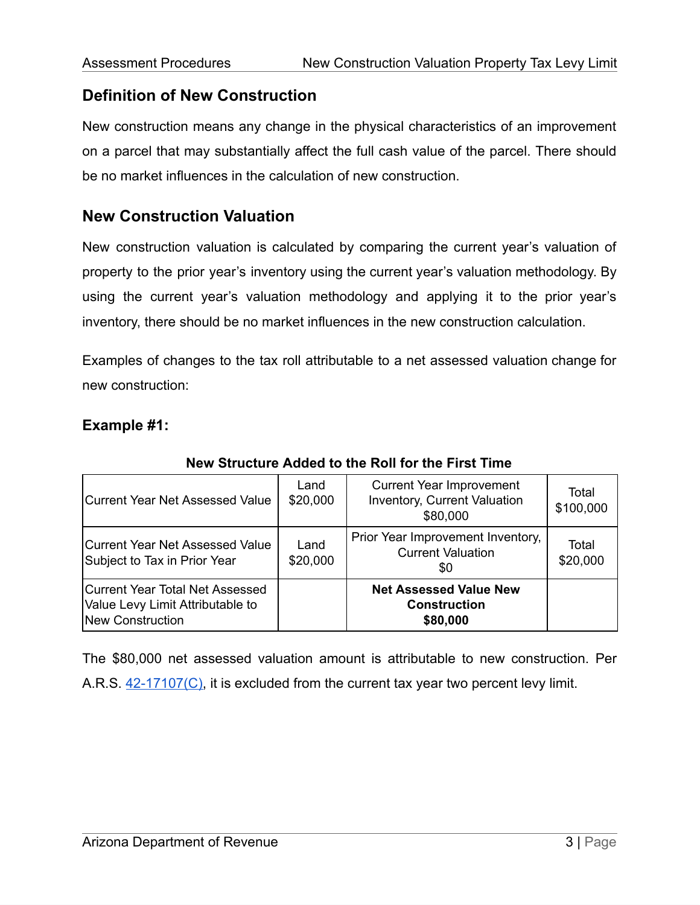# **Definition of New Construction**

New construction means any change in the physical characteristics of an improvement on a parcel that may substantially affect the full cash value of the parcel. There should be no market influences in the calculation of new construction.

# **New Construction Valuation**

New construction valuation is calculated by comparing the current year's valuation of property to the prior year's inventory using the current year's valuation methodology. By using the current year's valuation methodology and applying it to the prior year's inventory, there should be no market influences in the new construction calculation.

Examples of changes to the tax roll attributable to a net assessed valuation change for new construction:

## **Example #1:**

| Current Year Net Assessed Value<br>Subject to Tax in Prior Year                         | Land<br>\$20,000 | \$80,000<br>Prior Year Improvement Inventory,<br><b>Current Valuation</b><br>\$0 | Total<br>\$20,000 |
|-----------------------------------------------------------------------------------------|------------------|----------------------------------------------------------------------------------|-------------------|
| Current Year Total Net Assessed<br>Value Levy Limit Attributable to<br>New Construction |                  | <b>Net Assessed Value New</b><br><b>Construction</b><br>\$80,000                 |                   |

#### **New Structure Added to the Roll for the First Time**

The \$80,000 net assessed valuation amount is attributable to new construction. Per A.R.S. [42-17107\(C\),](https://www.azleg.gov/viewDocument/?docName=http://www.azleg.gov/ars/42/17107.htm) it is excluded from the current tax year two percent levy limit.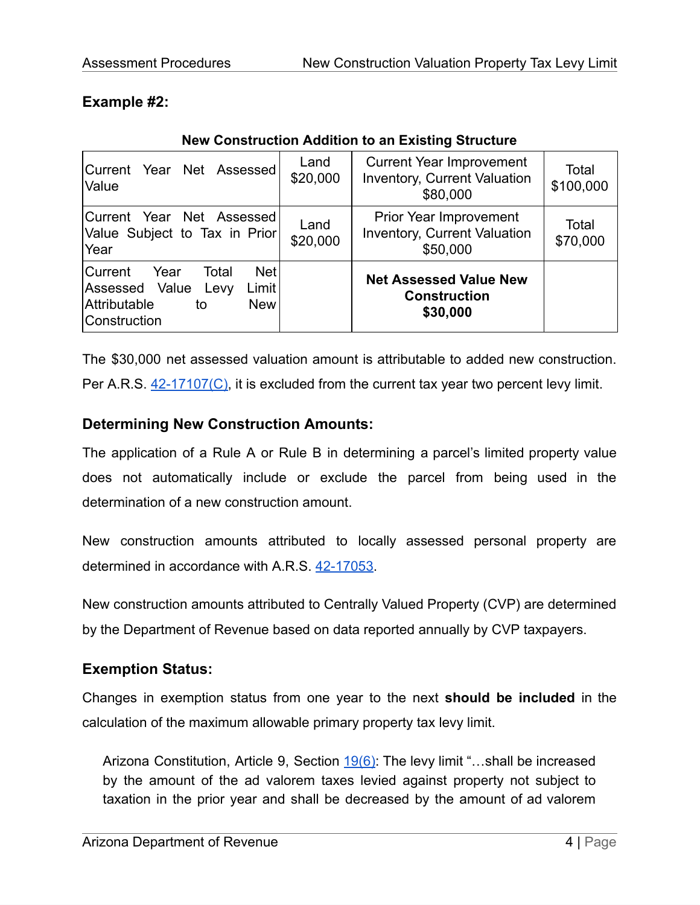## **Example #2:**

| Current Year Net Assessed<br>Value                                                                                            | Land<br>\$20,000 | <b>Current Year Improvement</b><br><b>Inventory, Current Valuation</b><br>\$80,000 | Total<br>\$100,000 |
|-------------------------------------------------------------------------------------------------------------------------------|------------------|------------------------------------------------------------------------------------|--------------------|
| Current Year Net Assessed<br>Value Subject to Tax in Prior<br>Year                                                            | Land<br>\$20,000 | Prior Year Improvement<br><b>Inventory, Current Valuation</b><br>\$50,000          | Total<br>\$70,000  |
| <b>Net</b><br>Current<br>Year<br>Total<br>Limit<br>Assessed Value<br>Levy<br>Attributable<br><b>New</b><br>to<br>Construction |                  | <b>Net Assessed Value New</b><br><b>Construction</b><br>\$30,000                   |                    |

### **New Construction Addition to an Existing Structure**

The \$30,000 net assessed valuation amount is attributable to added new construction.

Per A.R.S. [42-17107\(C\),](https://www.azleg.gov/viewDocument/?docName=http://www.azleg.gov/ars/42/17107.htm) it is excluded from the current tax year two percent levy limit.

## **Determining New Construction Amounts:**

The application of a Rule A or Rule B in determining a parcel's limited property value does not automatically include or exclude the parcel from being used in the determination of a new construction amount.

New construction amounts attributed to locally assessed personal property are determined in accordance with A.R.S. [42-17053.](https://www.azleg.gov/viewDocument/?docName=http://www.azleg.gov/ars/42/17053.htm)

New construction amounts attributed to Centrally Valued Property (CVP) are determined by the Department of Revenue based on data reported annually by CVP taxpayers.

# **Exemption Status:**

Changes in exemption status from one year to the next **should be included** in the calculation of the maximum allowable primary property tax levy limit.

Arizona Constitution, Article 9, Section [19\(6\)](https://www.azleg.gov/viewDocument/?docName=http://www.azleg.gov/const/9/19.htm): The levy limit "...shall be increased by the amount of the ad valorem taxes levied against property not subject to taxation in the prior year and shall be decreased by the amount of ad valorem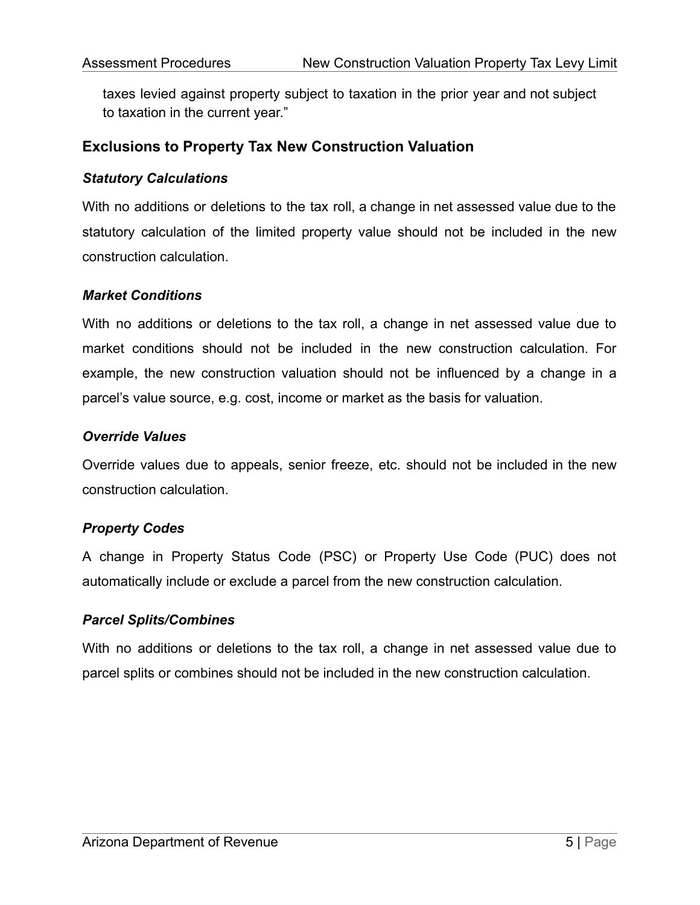taxes levied against property subject to taxation in the prior year and not subject to taxation in the current year."

## **Exclusions to Property Tax New Construction Valuation**

#### *Statutory Calculations*

With no additions or deletions to the tax roll, a change in net assessed value due to the statutory calculation of the limited property value should not be included in the new construction calculation.

#### *Market Conditions*

With no additions or deletions to the tax roll, a change in net assessed value due to market conditions should not be included in the new construction calculation. For example, the new construction valuation should not be influenced by a change in a parcel's value source, e.g. cost, income or market as the basis for valuation.

#### *Override Values*

Override values due to appeals, senior freeze, etc. should not be included in the new construction calculation.

#### *Property Codes*

A change in Property Status Code (PSC) or Property Use Code (PUC) does not automatically include or exclude a parcel from the new construction calculation.

#### *Parcel Splits/Combines*

With no additions or deletions to the tax roll, a change in net assessed value due to parcel splits or combines should not be included in the new construction calculation.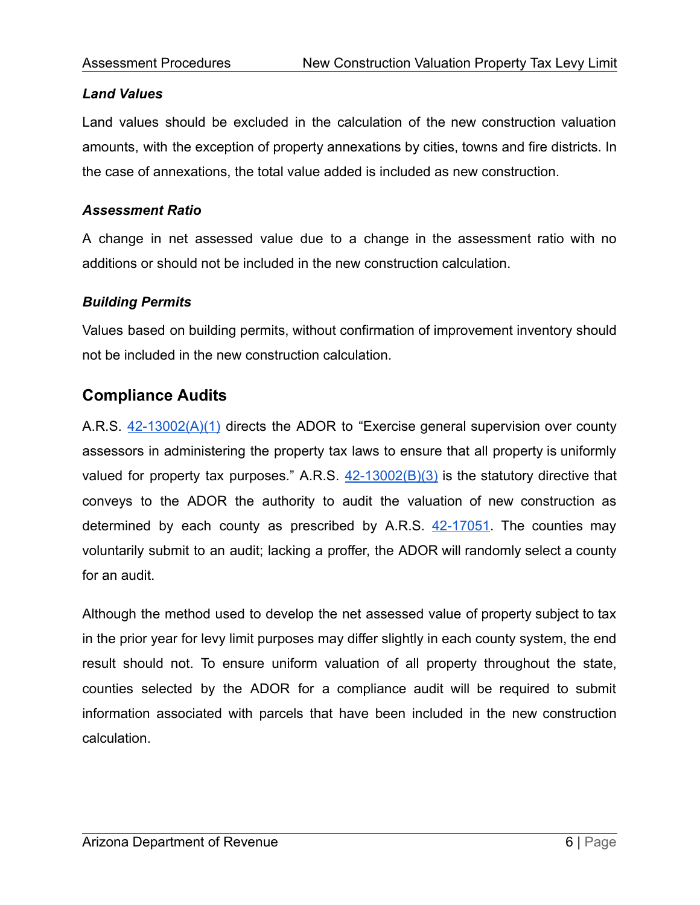### *Land Values*

Land values should be excluded in the calculation of the new construction valuation amounts, with the exception of property annexations by cities, towns and fire districts. In the case of annexations, the total value added is included as new construction.

## *Assessment Ratio*

A change in net assessed value due to a change in the assessment ratio with no additions or should not be included in the new construction calculation.

## *Building Permits*

Values based on building permits, without confirmation of improvement inventory should not be included in the new construction calculation.

# **Compliance Audits**

A.R.S.  $42-13002(A)(1)$  directs the ADOR to "Exercise general supervision over county assessors in administering the property tax laws to ensure that all property is uniformly valued for property tax purposes." A.R.S.  $42-13002(B)(3)$  is the statutory directive that conveys to the ADOR the authority to audit the valuation of new construction as determined by each county as prescribed by  $A.R.S.$   $42-17051$ . The counties may voluntarily submit to an audit; lacking a proffer, the ADOR will randomly select a county for an audit.

Although the method used to develop the net assessed value of property subject to tax in the prior year for levy limit purposes may differ slightly in each county system, the end result should not. To ensure uniform valuation of all property throughout the state, counties selected by the ADOR for a compliance audit will be required to submit information associated with parcels that have been included in the new construction calculation.